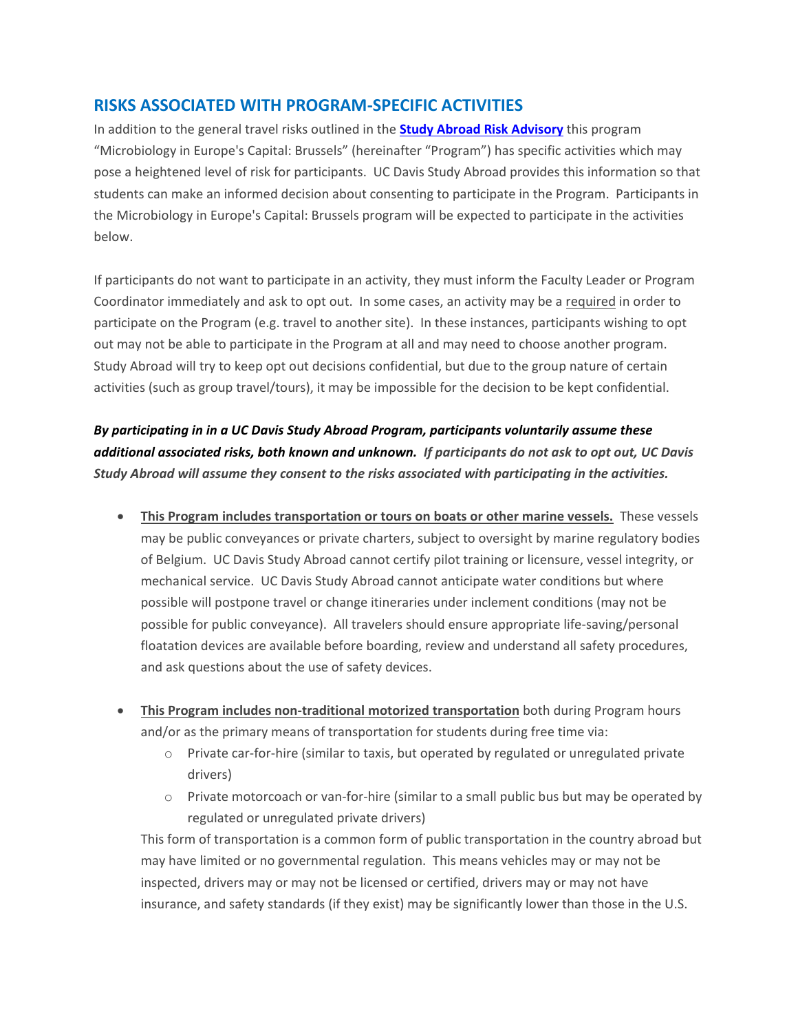## **RISKS ASSOCIATED WITH PROGRAM-SPECIFIC ACTIVITIES**

In addition to the general travel risks outlined in the **[Study Abroad Risk Advisory](http://studyabroad.ucdavis.edu/students/healthandsafety_risk.html)** this program "Microbiology in Europe's Capital: Brussels" (hereinafter "Program") has specific activities which may pose a heightened level of risk for participants. UC Davis Study Abroad provides this information so that students can make an informed decision about consenting to participate in the Program. Participants in the Microbiology in Europe's Capital: Brussels program will be expected to participate in the activities below.

If participants do not want to participate in an activity, they must inform the Faculty Leader or Program Coordinator immediately and ask to opt out. In some cases, an activity may be a required in order to participate on the Program (e.g. travel to another site). In these instances, participants wishing to opt out may not be able to participate in the Program at all and may need to choose another program. Study Abroad will try to keep opt out decisions confidential, but due to the group nature of certain activities (such as group travel/tours), it may be impossible for the decision to be kept confidential.

*By participating in in a UC Davis Study Abroad Program, participants voluntarily assume these additional associated risks, both known and unknown. If participants do not ask to opt out, UC Davis Study Abroad will assume they consent to the risks associated with participating in the activities.* 

- **This Program includes transportation or tours on boats or other marine vessels.** These vessels may be public conveyances or private charters, subject to oversight by marine regulatory bodies of Belgium. UC Davis Study Abroad cannot certify pilot training or licensure, vessel integrity, or mechanical service. UC Davis Study Abroad cannot anticipate water conditions but where possible will postpone travel or change itineraries under inclement conditions (may not be possible for public conveyance). All travelers should ensure appropriate life-saving/personal floatation devices are available before boarding, review and understand all safety procedures, and ask questions about the use of safety devices.
- **This Program includes non-traditional motorized transportation** both during Program hours and/or as the primary means of transportation for students during free time via:
	- o Private car-for-hire (similar to taxis, but operated by regulated or unregulated private drivers)
	- o Private motorcoach or van-for-hire (similar to a small public bus but may be operated by regulated or unregulated private drivers)

This form of transportation is a common form of public transportation in the country abroad but may have limited or no governmental regulation. This means vehicles may or may not be inspected, drivers may or may not be licensed or certified, drivers may or may not have insurance, and safety standards (if they exist) may be significantly lower than those in the U.S.